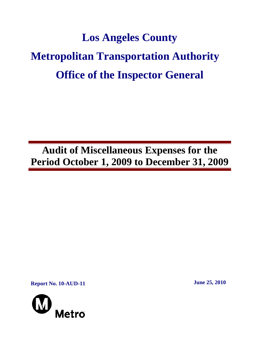# **Los Angeles County Metropolitan Transportation Authority Office of the Inspector General**

**Audit of Miscellaneous Expenses for the Period October 1, 2009 to December 31, 2009**

**Report No. 10-AUD-11** June 25, 2010

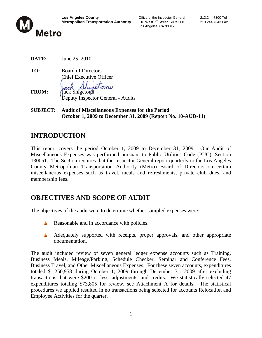

Los Angeles, CA 90017

**DATE:** June 25, 2010

**TO:** Board of Directors Chief Executive Officer

retomy

- **FROM:** *Jack Shigetomi* Deputy Inspector General - Audits
- **SUBJECT: Audit of Miscellaneous Expenses for the Period October 1, 2009 to December 31, 2009 (Report No. 10-AUD-11)**

## **INTRODUCTION**

This report covers the period October 1, 2009 to December 31, 2009. Our Audit of Miscellaneous Expenses was performed pursuant to Public Utilities Code (PUC), Section 130051. The Section requires that the Inspector General report quarterly to the Los Angeles County Metropolitan Transportation Authority (Metro) Board of Directors on certain miscellaneous expenses such as travel, meals and refreshments, private club dues, and membership fees.

## **OBJECTIVES AND SCOPE OF AUDIT**

The objectives of the audit were to determine whether sampled expenses were:

- Reasonable and in accordance with policies.
- A Adequately supported with receipts, proper approvals, and other appropriate documentation.

The audit included review of seven general ledger expense accounts such as Training, Business Meals, Mileage/Parking, Schedule Checker, Seminar and Conference Fees, Business Travel, and Other Miscellaneous Expenses. For these seven accounts, expenditures totaled \$1,250,958 during October 1, 2009 through December 31, 2009 after excluding transactions that were \$200 or less, adjustments, and credits. We statistically selected 47 expenditures totaling \$73,805 for review, see Attachment A for details. The statistical procedures we applied resulted in no transactions being selected for accounts Relocation and Employee Activities for the quarter.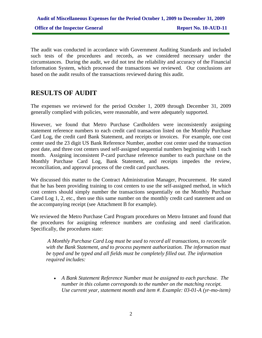The audit was conducted in accordance with Government Auditing Standards and included such tests of the procedures and records, as we considered necessary under the circumstances. During the audit, we did not test the reliability and accuracy of the Financial Information System, which processed the transactions we reviewed. Our conclusions are based on the audit results of the transactions reviewed during this audit.

## **RESULTS OF AUDIT**

The expenses we reviewed for the period October 1, 2009 through December 31, 2009 generally complied with policies, were reasonable, and were adequately supported.

However, we found that Metro Purchase Cardholders were inconsistently assigning statement reference numbers to each credit card transaction listed on the Monthly Purchase Card Log, the credit card Bank Statement, and receipts or invoices. For example, one cost center used the 23 digit US Bank Reference Number, another cost center used the transaction post date, and three cost centers used self-assigned sequential numbers beginning with 1 each month. Assigning inconsistent P-card purchase reference number to each purchase on the Monthly Purchase Card Log, Bank Statement, and receipts impedes the review, reconciliation, and approval process of the credit card purchases.

We discussed this matter to the Contract Administration Manager, Procurement. He stated that he has been providing training to cost centers to use the self-assigned method, in which cost centers should simply number the transactions sequentially on the Monthly Purchase Cared Log 1, 2, etc., then use this same number on the monthly credit card statement and on the accompanying receipt (see Attachment B for example).

We reviewed the Metro Purchase Card Program procedures on Metro Intranet and found that the procedures for assigning reference numbers are confusing and need clarification. Specifically, the procedures state:

*A Monthly Purchase Card Log must be used to record all transactions, to reconcile with the Bank Statement, and to process payment authorization. The information must be typed and be typed and all fields must be completely filled out. The information required includes:* 

• *A Bank Statement Reference Number must be assigned to each purchase. The number in this column corresponds to the number on the matching receipt. Use current year, statement month and item #. Example: 03-01-A (yr-mo-item)*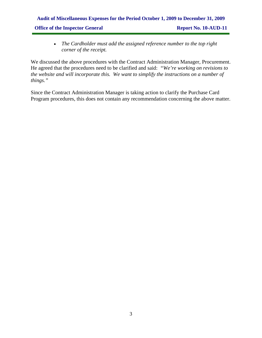## **Audit of Miscellaneous Expenses for the Period October 1, 2009 to December 31, 2009 Office of the Inspector General Report No. 10-AUD-11**

• *The Cardholder must add the assigned reference number to the top right corner of the receipt.* 

We discussed the above procedures with the Contract Administration Manager, Procurement. He agreed that the procedures need to be clarified and said: *"We're working on revisions to the website and will incorporate this. We want to simplify the instructions on a number of things."*

Since the Contract Administration Manager is taking action to clarify the Purchase Card Program procedures, this does not contain any recommendation concerning the above matter.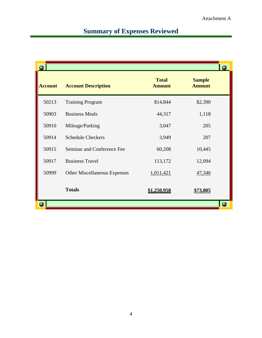# **Summary of Expenses Reviewed**

| <b>Account</b> | <b>Account Description</b>          | <b>Total</b><br><b>Amount</b> | <b>Sample</b><br><b>Amount</b> |  |
|----------------|-------------------------------------|-------------------------------|--------------------------------|--|
| 50213          | <b>Training Program</b>             | \$14,844                      | \$2,390                        |  |
| 50903          | <b>Business Meals</b>               | 44,317                        | 1,118                          |  |
| 50910          | Mileage/Parking                     | 3,047                         | 205                            |  |
| 50914          | <b>Schedule Checkers</b>            | 3,949                         | 207                            |  |
| 50915          | Seminar and Conference Fee          | 60,208                        | 10,445                         |  |
| 50917          | <b>Business Travel</b>              | 113,172                       | 12,094                         |  |
| 50999          | <b>Other Miscellaneous Expenses</b> | 1,011,421                     | 47,346                         |  |
|                | <b>Totals</b>                       | \$1,250,958                   | <u>\$73,805</u>                |  |
|                |                                     |                               |                                |  |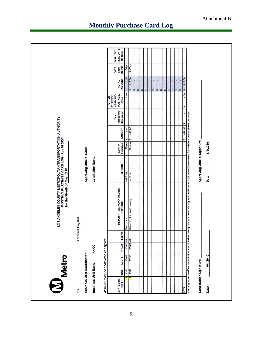| All fields must be completed and typed:<br><b>Business Unit Coordinator:</b><br><b>Business Unit Name:</b><br>To: |          | <b>XXXX</b> | Accounts Payable |                                                                                                                                                             | for the Month of May, 2010    | MONTHLY PURCHASE CARD LOG (Rev 010904) | LOS ANGELES COUNTY METROPOLITAN TRANSPORTATION AUTHORITY |                                 |                                                              |                                     |                              |                                           |
|-------------------------------------------------------------------------------------------------------------------|----------|-------------|------------------|-------------------------------------------------------------------------------------------------------------------------------------------------------------|-------------------------------|----------------------------------------|----------------------------------------------------------|---------------------------------|--------------------------------------------------------------|-------------------------------------|------------------------------|-------------------------------------------|
|                                                                                                                   |          |             |                  |                                                                                                                                                             |                               |                                        |                                                          |                                 |                                                              |                                     |                              |                                           |
|                                                                                                                   |          |             |                  |                                                                                                                                                             | Approving Official Name:      |                                        |                                                          |                                 |                                                              |                                     |                              |                                           |
|                                                                                                                   |          |             |                  |                                                                                                                                                             | Cardholder Name:              |                                        |                                                          |                                 |                                                              |                                     |                              |                                           |
|                                                                                                                   |          |             |                  |                                                                                                                                                             |                               |                                        |                                                          |                                 |                                                              |                                     |                              |                                           |
| <b>JO</b><br>STATEMENT<br>REF#                                                                                    | ACCT#    | PROJ#       | TASK#            | <b>DESCRIPTION, WORK ORDER,</b><br>PURPOSE                                                                                                                  | VENDOR                        | Purchase<br>Date of                    | <b>AMOUNT</b>                                            | itemization<br>mandatory<br>TAX | (SHIPPING,<br>HANDLING,<br>POSTAGE,<br><b>OTHER</b><br>ETC.) | AMOUNT<br><b>TOTAL</b>              | REC'D<br>DATE<br><b>ITEM</b> | ITEM / DATE<br><b>DISPUTED</b><br>OF CSQI |
| 1310                                                                                                              | 50999    | 100002 01   |                  | Desk plate                                                                                                                                                  | NAAG tag                      | 26-Apr                                 | 5.50<br>v                                                |                                 | 4.50<br>S                                                    | 10.00<br>m                          | 28-Apr                       |                                           |
| 1310                                                                                                              | 50213    | 10000201    |                  | Searching for Fraud training                                                                                                                                | Cal CPA                       | 18-May                                 | 415.00<br>ø                                              |                                 |                                                              | 415.00<br>$\boldsymbol{\mathsf{w}}$ | 18-May                       |                                           |
|                                                                                                                   |          |             |                  |                                                                                                                                                             |                               |                                        |                                                          |                                 |                                                              | w                                   |                              |                                           |
|                                                                                                                   |          |             |                  |                                                                                                                                                             |                               |                                        |                                                          |                                 |                                                              | ï<br>w                              |                              |                                           |
|                                                                                                                   |          |             |                  |                                                                                                                                                             |                               |                                        |                                                          |                                 |                                                              | ı<br>m                              |                              |                                           |
|                                                                                                                   |          |             |                  |                                                                                                                                                             |                               |                                        |                                                          |                                 |                                                              | ï<br>$\boldsymbol{\varphi}$         |                              |                                           |
|                                                                                                                   |          |             |                  |                                                                                                                                                             |                               |                                        |                                                          |                                 |                                                              | $\boldsymbol{\omega}$               |                              |                                           |
|                                                                                                                   |          |             |                  |                                                                                                                                                             |                               |                                        |                                                          |                                 |                                                              | w                                   |                              |                                           |
|                                                                                                                   |          |             |                  |                                                                                                                                                             |                               |                                        |                                                          |                                 |                                                              | ï                                   |                              |                                           |
|                                                                                                                   |          |             |                  |                                                                                                                                                             |                               |                                        |                                                          |                                 |                                                              | $v_2$ $v_3$                         |                              |                                           |
|                                                                                                                   |          |             |                  |                                                                                                                                                             |                               |                                        |                                                          |                                 |                                                              | $\mathbf{v}$                        |                              |                                           |
|                                                                                                                   |          |             |                  |                                                                                                                                                             |                               |                                        |                                                          |                                 |                                                              | w                                   |                              |                                           |
|                                                                                                                   |          |             |                  |                                                                                                                                                             |                               |                                        |                                                          |                                 |                                                              | s                                   |                              |                                           |
| <b>TOTAL:</b>                                                                                                     |          |             |                  |                                                                                                                                                             |                               |                                        | 420.50<br>n                                              | n                               | 4.50                                                         | 425.00<br>w<br>$\boldsymbol{\eta}$  |                              |                                           |
|                                                                                                                   |          |             |                  | rour signature verifies receipt of all merchandise (except as you noted above) and confirms that all expenditures were for valid business-related purposes. |                               |                                        |                                                          |                                 | n                                                            |                                     |                              |                                           |
| Card Holder Signature:                                                                                            |          |             |                  |                                                                                                                                                             | Approving Official Signature: |                                        |                                                          |                                 |                                                              |                                     |                              |                                           |
| Date:                                                                                                             | 6/1/2010 |             |                  |                                                                                                                                                             | Date:                         | 6/1/2010                               |                                                          |                                 |                                                              |                                     |                              |                                           |
|                                                                                                                   |          |             |                  |                                                                                                                                                             |                               |                                        |                                                          |                                 |                                                              |                                     |                              |                                           |

# **Monthly Purchase Card Log**

5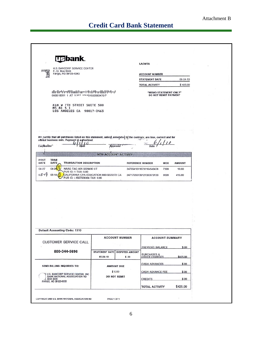## **Credit Card Bank Statement**

|                                                                                                                                                                                                 |                                         | <b>LACMTA</b>                                                                     |                                               |  |
|-------------------------------------------------------------------------------------------------------------------------------------------------------------------------------------------------|-----------------------------------------|-----------------------------------------------------------------------------------|-----------------------------------------------|--|
| <b>U.S BANCORP SERVICE CENTER</b><br>P.O. Box 6343<br>Fargo, ND 58125-6343                                                                                                                      |                                         |                                                                                   |                                               |  |
|                                                                                                                                                                                                 |                                         | <b>ACCOUNT NUMBER</b><br><b>STATEMENT DATE</b>                                    | $05 - 24 - 10$                                |  |
|                                                                                                                                                                                                 |                                         | <b>TOTAL ACTIVITY</b>                                                             | \$425.00                                      |  |
|                                                                                                                                                                                                 |                                         |                                                                                   |                                               |  |
| նի կիմբուկների կրոնվորների թվելի հետև<br>000018281 1 AT 0.357 106481602883470 P                                                                                                                 |                                         |                                                                                   | "MEMO STATEMENT ONLY"<br>DO NOT REMIT PAYMENT |  |
| 818 W 7TH STREET SUITE 500<br>MS 81 5 1<br>LOS ANGELES CA 90017-3463                                                                                                                            |                                         |                                                                                   |                                               |  |
| We certify that all purchases listed on this statement, unless annotated to the contrary, are true, correct and for<br>official business only. Payment is authorized.<br>$\Omega$<br>Cardholder | Approver                                | Date                                                                              |                                               |  |
| Ñ,                                                                                                                                                                                              | <b>NEW ACCOUNT ACTIVITY</b>             |                                                                                   |                                               |  |
| POST<br><b>TRAN</b><br>DATE<br>DATE<br><b>TRANSACTION DESCRIPTION</b>                                                                                                                           |                                         | <b>REFERENCE NUMBER</b>                                                           | <b>MCC</b><br><b>AMOUNT</b>                   |  |
| $04 - 26$<br>NAAG TAG 801-5629400 UT<br>$04 - 27$                                                                                                                                               |                                         | 24755410116731164549478                                                           | 7399<br>10.00                                 |  |
| PUR ID: 1 TAX: 0.00<br>$0.5 - 19$<br>$05-18$                                                                                                                                                    | CALIFORNIA CPA EDUCATION 800-9225272 CA | 24717050139121393679136                                                           | 8699<br>415.00                                |  |
| PUR ID: L1557558364 TAX: 0.00                                                                                                                                                                   |                                         |                                                                                   |                                               |  |
|                                                                                                                                                                                                 |                                         |                                                                                   |                                               |  |
|                                                                                                                                                                                                 |                                         |                                                                                   |                                               |  |
|                                                                                                                                                                                                 |                                         |                                                                                   |                                               |  |
|                                                                                                                                                                                                 |                                         |                                                                                   |                                               |  |
|                                                                                                                                                                                                 |                                         |                                                                                   |                                               |  |
|                                                                                                                                                                                                 |                                         |                                                                                   |                                               |  |
|                                                                                                                                                                                                 |                                         |                                                                                   |                                               |  |
|                                                                                                                                                                                                 |                                         |                                                                                   |                                               |  |
|                                                                                                                                                                                                 |                                         |                                                                                   |                                               |  |
|                                                                                                                                                                                                 | <b>ACCOUNT NUMBER</b>                   |                                                                                   | <b>ACCOUNT SUMMARY</b>                        |  |
|                                                                                                                                                                                                 |                                         |                                                                                   |                                               |  |
|                                                                                                                                                                                                 |                                         | PREVIOUS BALANCE                                                                  | \$.00                                         |  |
| 800-344-5696                                                                                                                                                                                    | <b>STATEMENT DATE</b><br>$05 - 24 - 10$ | <b>DISPUTED AMOUNT</b><br><b>PURCHASES &amp;</b><br><b>OTHER CHARGES</b><br>\$.00 | \$425.00                                      |  |
|                                                                                                                                                                                                 |                                         | <b>CASH ADVANCES</b>                                                              | \$.00                                         |  |
| <b>Default Accounting Code: 1310</b><br><b>CUSTOMER SERVICE CALL</b><br>SEND BILLING INQUIRIES TO:                                                                                              | <b>AMOUNT DUE</b>                       |                                                                                   |                                               |  |
| <b>OU.S. BANCORP SERVICE CENTER, INC.</b><br>BANK NATIONAL ASSOCIATION ND                                                                                                                       | \$0.00<br>DO NOT REMIT                  | <b>CASH ADVANCE FEE</b>                                                           | \$.00                                         |  |
| J. BOX 6335<br>FARGO, ND 58125-6335                                                                                                                                                             |                                         | <b>CREDITS</b>                                                                    | \$.00                                         |  |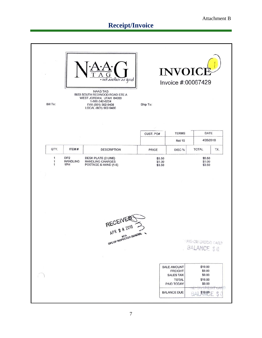# **Receipt/Invoice**

| Bill To:                          |                                           | · not another as good<br><b>NAAG TAG</b><br>8833 SOUTH REDWOOD ROAD STE A<br>WEST JORDAN, UTAH 84088<br>1-800-242-6224<br>FAX (801) 562-9408<br>LOCAL (801) 562-9400 | Ship To:                   | <b>INVOICI</b>                                                                         | Invoice #:00067429                                                                     |
|-----------------------------------|-------------------------------------------|----------------------------------------------------------------------------------------------------------------------------------------------------------------------|----------------------------|----------------------------------------------------------------------------------------|----------------------------------------------------------------------------------------|
|                                   |                                           |                                                                                                                                                                      |                            |                                                                                        |                                                                                        |
|                                   |                                           |                                                                                                                                                                      | CUST. PO#                  | <b>TERMS</b>                                                                           | DATE                                                                                   |
|                                   |                                           |                                                                                                                                                                      |                            | <b>Net 15</b>                                                                          | 4/26/2010                                                                              |
| QTY.                              | ITEM#                                     | <b>DESCRIPTION</b>                                                                                                                                                   | PRICE                      | DISC %                                                                                 | <b>TOTAL</b><br>TX.                                                                    |
| 1<br>$\mathbf{1}$<br>$\mathbf{1}$ | DP <sub>2</sub><br><b>HANDLING</b><br>1PH | DESK PLATE (2 LINE)<br><b>HANDLING CHARGES</b><br>POSTAGE & HAND (1-5)<br>RECEIVERE                                                                                  | \$5.50<br>\$1.00<br>\$3.50 |                                                                                        | \$5.50<br>\$1.00<br>\$3.50                                                             |
|                                   |                                           | OFC OF INSPECTOR GENER<br>×                                                                                                                                          |                            | <b>SALE AMOUNT</b><br><b>FREIGHT</b><br><b>SALES TAX</b><br><b>TOTAL</b><br>PAID TODAY | TAID ON CREDIT CARD<br>BALANCE \$0<br>\$10.00<br>\$0.00<br>\$0.00<br>\$10.00<br>\$0.00 |
|                                   |                                           |                                                                                                                                                                      |                            | <b>BALANCE DUE</b>                                                                     | 87<br>$3.11^{17}$<br>810,00 円                                                          |
|                                   |                                           |                                                                                                                                                                      |                            |                                                                                        |                                                                                        |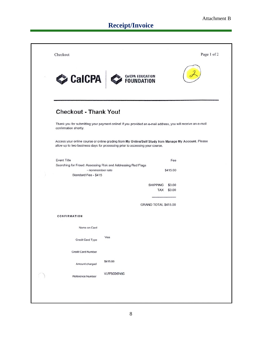# **Receipt/Invoice**

| Checkout                                                                                                                                                                             |                  |                      |            | Page 1 of 2 |
|--------------------------------------------------------------------------------------------------------------------------------------------------------------------------------------|------------------|----------------------|------------|-------------|
| CalCPA                                                                                                                                                                               | CalCPA EDUCATION |                      |            |             |
| <b>Checkout - Thank You!</b>                                                                                                                                                         |                  |                      |            |             |
| Thank you for submitting your payment online! If you provided an e-mail address, you will receive an e-mail<br>confirmation shortly.                                                 |                  |                      |            |             |
| Access your online course or online grading from My Online/Self Study from Manage My Account. Please<br>allow up to two business days for processing prior to accessing your course. |                  |                      |            |             |
| <b>Event Title</b>                                                                                                                                                                   |                  |                      | Fee        |             |
| Searching for Fraud: Assessing Risk and Addressing Red Flags                                                                                                                         |                  |                      |            |             |
| - nonmember rate                                                                                                                                                                     |                  |                      | \$415.00   |             |
| Standard Fee - \$415                                                                                                                                                                 |                  |                      |            |             |
|                                                                                                                                                                                      |                  |                      |            |             |
|                                                                                                                                                                                      |                  | <b>SHIPPING</b>      | \$0.00     |             |
|                                                                                                                                                                                      |                  |                      | TAX \$0.00 |             |
|                                                                                                                                                                                      |                  |                      |            |             |
|                                                                                                                                                                                      |                  | GRAND TOTAL \$415.00 |            |             |
| CONFIRMATION                                                                                                                                                                         |                  |                      |            |             |
| Name on Card                                                                                                                                                                         |                  |                      |            |             |
| Credit Card Type                                                                                                                                                                     | Visa             |                      |            |             |
| <b>Credit Card Number</b>                                                                                                                                                            |                  |                      |            |             |
| Amount charged                                                                                                                                                                       | \$415.00         |                      |            |             |
| Reference Number                                                                                                                                                                     | VLFF5CD6745C     |                      |            |             |
|                                                                                                                                                                                      |                  |                      |            |             |
|                                                                                                                                                                                      |                  |                      |            |             |
|                                                                                                                                                                                      |                  |                      |            |             |